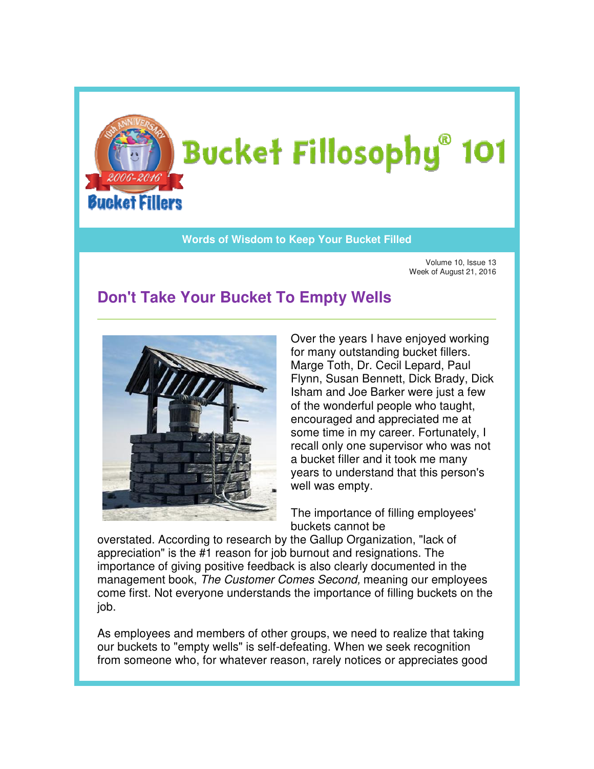

## **Words of Wisdom to Keep Your Bucket Filled Wisdom**

Volume 10, Issue 13 Week of August 21, 2016 Issue of August

## **Don't Take Your Bucket To Empty Wells**



Over the years I have enjoyed working for many outstanding bucket fillers. Marge Toth, Dr. Cecil Lepard, Paul Flynn, Susan Bennett, Dick Brady, Dick Dick Isham and Joe Barker were just a few of the wonderful people who taught, encouraged and appreciated me at some time in my career. Fortunately, I recall only one supervisor who was not a bucket filler and it took me many years to understand that this person's well was empty. Isham and Joe Barker were just a fevorable of the wonderful people who taught, encouraged and appreciated me at some time in my career. Fortunately, recall only one supervisor who was rappress to understand that this perso

The importance of filling employees' buckets cannot be

overstated. According to research by the Gallup Organization, "lack of appreciation" is the #1 reason for job burnout and resignations. The appreciation" is the #1 reason for job burnout and resignations. The<br>importance of giving positive feedback is also clearly documented in the management book, The Customer Comes Second, meaning our employees come first. Not everyone understands the importance of filling buckets on the job.

As employees and members of other groups, we need to realize that taking As employees and members of other groups, we need to realize that takir<br>our buckets to "empty wells" is self-defeating. When we seek recognition from someone who, for whatever reason, rarely notices or appreciates good